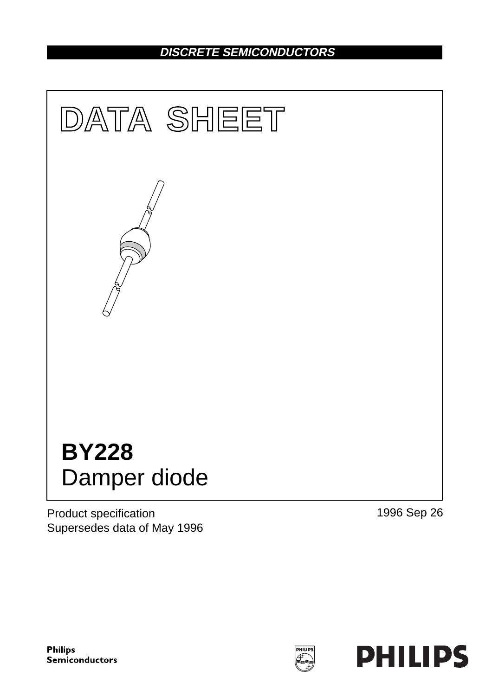# **DISCRETE SEMICONDUCTORS**



Product specification Supersedes data of May 1996 1996 Sep 26

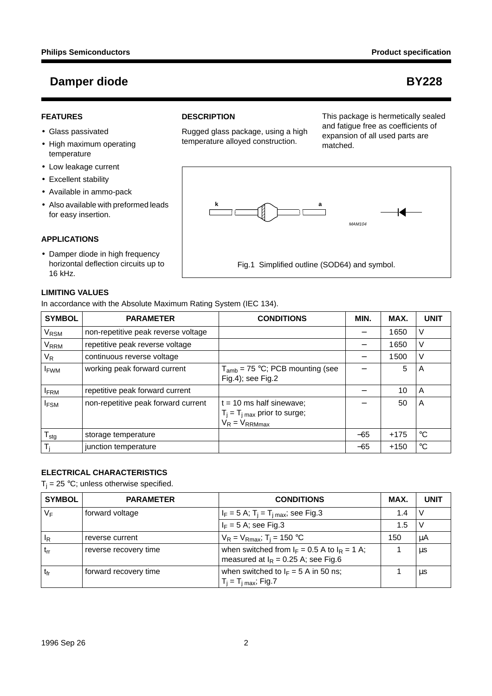#### **FEATURES**

- Glass passivated
- High maximum operating temperature
- Low leakage current
- Excellent stability
- Available in ammo-pack
- Also available with preformed leads for easy insertion.

#### **APPLICATIONS**

• Damper diode in high frequency horizontal deflection circuits up to 16 kHz.

#### **LIMITING VALUES**

In accordance with the Absolute Maximum Rating System (IEC 134).

| <b>SYMBOL</b>    | <b>PARAMETER</b>                    | <b>CONDITIONS</b>                                                                             | MIN.  | MAX.   | <b>UNIT</b> |
|------------------|-------------------------------------|-----------------------------------------------------------------------------------------------|-------|--------|-------------|
| V <sub>RSM</sub> | non-repetitive peak reverse voltage |                                                                                               |       | 1650   | V           |
| V <sub>RRM</sub> | repetitive peak reverse voltage     |                                                                                               |       | 1650   | V           |
| $V_R$            | continuous reverse voltage          |                                                                                               |       | 1500   | V           |
| <b>I</b> FWM     | working peak forward current        | $T_{amb}$ = 75 °C; PCB mounting (see<br>$Fig.4$ ; see Fig.2                                   |       | 5      | A           |
| <b>IFRM</b>      | repetitive peak forward current     |                                                                                               |       | 10     | A           |
| <b>IFSM</b>      | non-repetitive peak forward current | $t = 10$ ms half sinewave;<br>$T_j = T_{j \text{ max}}$ prior to surge;<br>$V_R = V_{RRMmax}$ |       | 50     | A           |
| $T_{\text{stg}}$ | storage temperature                 |                                                                                               | $-65$ | $+175$ | °C          |
| $T_i$            | junction temperature                |                                                                                               | $-65$ | $+150$ | $^{\circ}C$ |

### **ELECTRICAL CHARACTERISTICS**

 $T_i = 25 \degree C$ ; unless otherwise specified.

| <b>SYMBOL</b> | <b>PARAMETER</b>      | <b>CONDITIONS</b>                                                                         | MAX. | <b>UNIT</b> |
|---------------|-----------------------|-------------------------------------------------------------------------------------------|------|-------------|
| $V_F$         | forward voltage       | $I_F = 5$ A; T <sub>i</sub> = T <sub>i max</sub> ; see Fig.3                              | 1.4  |             |
|               |                       | $I_F = 5$ A; see Fig.3                                                                    | 1.5  | v           |
| ΙŖ            | reverse current       | $V_R = V_{Rmax}$ ; T <sub>i</sub> = 150 °C                                                | 150  | μA          |
| $t_{rr}$      | reverse recovery time | when switched from $I_F = 0.5$ A to $I_R = 1$ A;<br>measured at $I_R$ = 0.25 A; see Fig.6 |      | μs          |
| $t_{fr}$      | forward recovery time | when switched to $I_F = 5$ A in 50 ns;                                                    |      | μs          |
|               |                       | $T_i = T_{i max}$ ; Fig.7                                                                 |      |             |

#### **DESCRIPTION**

Rugged glass package, using a high temperature alloyed construction.

This package is hermetically sealed and fatigue free as coefficients of expansion of all used parts are matched.

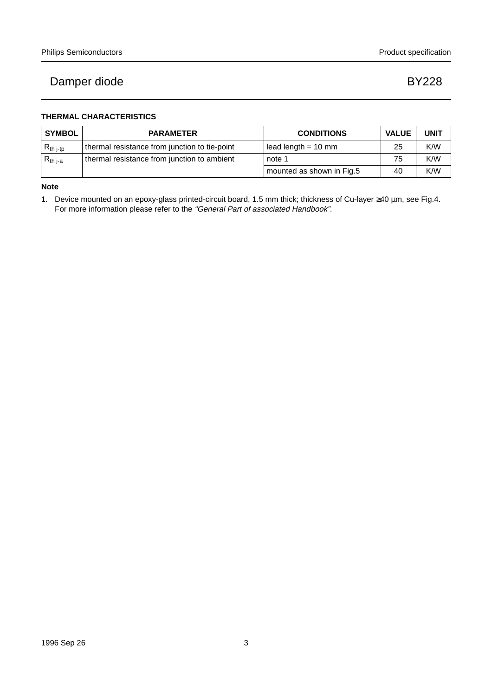### **THERMAL CHARACTERISTICS**

| <b>SYMBOL</b>                              | <b>PARAMETER</b>                              | <b>CONDITIONS</b>         | <b>VALUE</b> | <b>UNIT</b> |
|--------------------------------------------|-----------------------------------------------|---------------------------|--------------|-------------|
| $\mathsf{R}_{\mathsf{th}}$ j-tp            | thermal resistance from junction to tie-point | lead length $= 10$ mm     | 25           | K/W         |
| $\mathsf{R}_{\mathsf{th} \, \mathsf{j-a}}$ | thermal resistance from junction to ambient   | note 1                    | 75           | K/W         |
|                                            |                                               | mounted as shown in Fig.5 | 40           | K/W         |

**Note**

1. Device mounted on an epoxy-glass printed-circuit board, 1.5 mm thick; thickness of Cu-layer ≥40 µm, see Fig.4. For more information please refer to the "General Part of associated Handbook".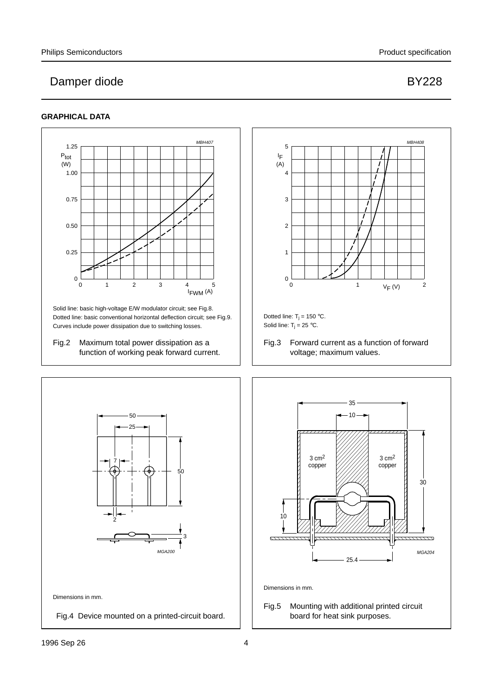### **GRAPHICAL DATA**

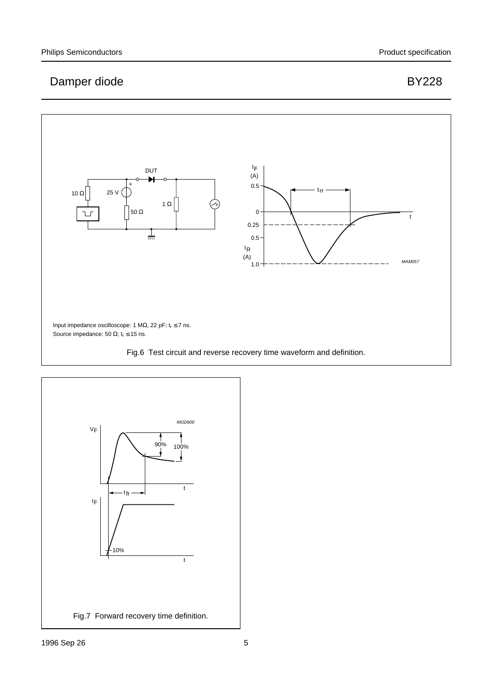## $\mathsf{I}_\mathsf{F}$ DUT (A)  $\uparrow$   $\uparrow$   $\uparrow$   $\uparrow$   $\uparrow$   $\uparrow$   $\uparrow$   $\uparrow$   $\uparrow$   $\uparrow$   $\uparrow$   $\uparrow$   $\uparrow$   $\uparrow$   $\uparrow$   $\uparrow$   $\uparrow$   $\uparrow$   $\uparrow$   $\uparrow$   $\uparrow$   $\uparrow$   $\uparrow$   $\uparrow$   $\uparrow$   $\uparrow$   $\uparrow$   $\uparrow$   $\uparrow$   $\uparrow$   $\uparrow$   $\uparrow$   $\uparrow$   $\uparrow$   $\uparrow$   $\uparrow$   $\uparrow$ 10 Ω 25 V $\bigcap$ 1 Ω  $50 \Omega$ 0 ו ר t 0.25  $\frac{1}{\sqrt{n}}$ 0.5 IR (A) MAM057 1.0 Input impedance oscilloscope: 1 M $\Omega$ , 22 pF; t<sub>r</sub>  $\leq$  7 ns. Source impedance: 50  $\Omega$ ; t<sub>r</sub> ≤ 15 ns. Fig.6 Test circuit and reverse recovery time waveform and definition.

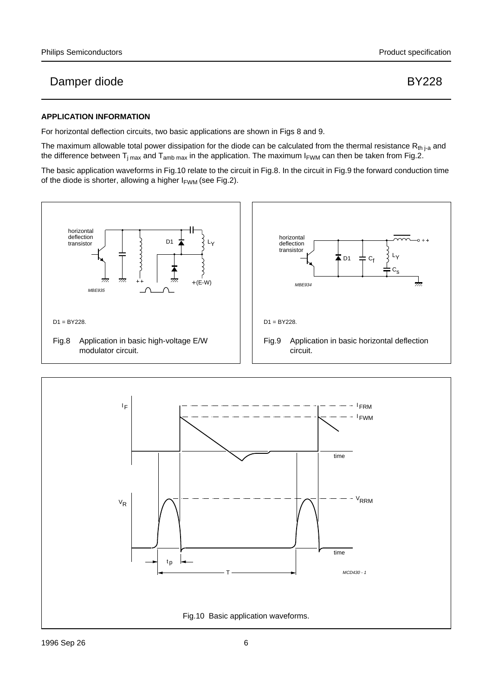### **APPLICATION INFORMATION**

For horizontal deflection circuits, two basic applications are shown in Figs 8 and 9.

The maximum allowable total power dissipation for the diode can be calculated from the thermal resistance  $R_{th\, j-a}$  and the difference between  $T_{j max}$  and  $T_{amb max}$  in the application. The maximum  $I_{FWM}$  can then be taken from Fig.2.

The basic application waveforms in Fig.10 relate to the circuit in Fig.8. In the circuit in Fig.9 the forward conduction time of the diode is shorter, allowing a higher  $I_{FWM}$  (see Fig.2).